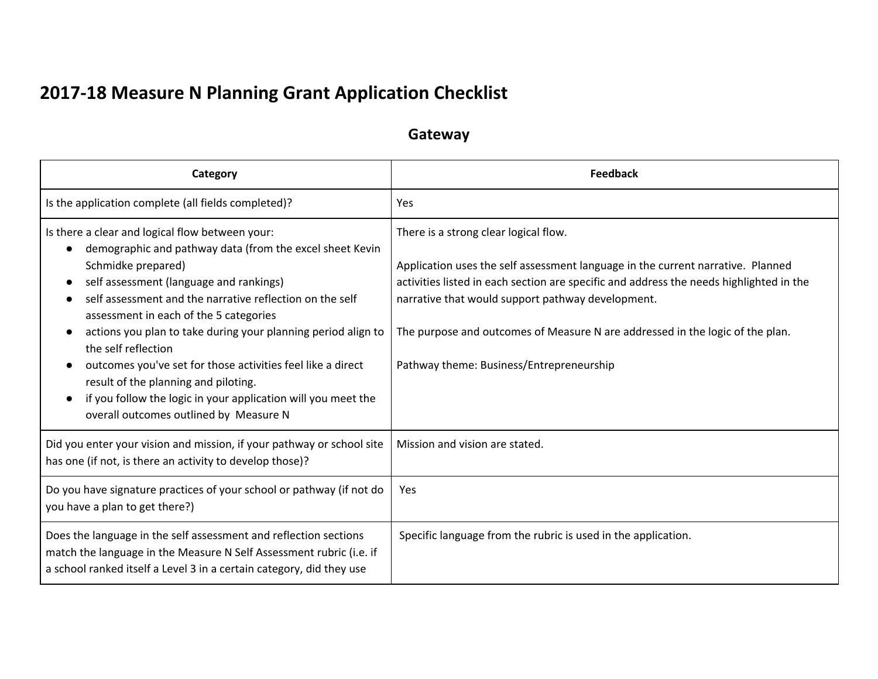## **2017-18 Measure N Planning Grant Application Checklist**

## **Gateway**

| Category                                                                                                                                                                                                                                                                                                                                                                                                                                                                                                                                                                                     | <b>Feedback</b>                                                                                                                                                                                                                                                                                                                                                                                       |
|----------------------------------------------------------------------------------------------------------------------------------------------------------------------------------------------------------------------------------------------------------------------------------------------------------------------------------------------------------------------------------------------------------------------------------------------------------------------------------------------------------------------------------------------------------------------------------------------|-------------------------------------------------------------------------------------------------------------------------------------------------------------------------------------------------------------------------------------------------------------------------------------------------------------------------------------------------------------------------------------------------------|
| Is the application complete (all fields completed)?                                                                                                                                                                                                                                                                                                                                                                                                                                                                                                                                          | Yes                                                                                                                                                                                                                                                                                                                                                                                                   |
| Is there a clear and logical flow between your:<br>demographic and pathway data (from the excel sheet Kevin<br>Schmidke prepared)<br>self assessment (language and rankings)<br>self assessment and the narrative reflection on the self<br>assessment in each of the 5 categories<br>actions you plan to take during your planning period align to<br>the self reflection<br>outcomes you've set for those activities feel like a direct<br>result of the planning and piloting.<br>if you follow the logic in your application will you meet the<br>overall outcomes outlined by Measure N | There is a strong clear logical flow.<br>Application uses the self assessment language in the current narrative. Planned<br>activities listed in each section are specific and address the needs highlighted in the<br>narrative that would support pathway development.<br>The purpose and outcomes of Measure N are addressed in the logic of the plan.<br>Pathway theme: Business/Entrepreneurship |
| Did you enter your vision and mission, if your pathway or school site<br>has one (if not, is there an activity to develop those)?                                                                                                                                                                                                                                                                                                                                                                                                                                                            | Mission and vision are stated.                                                                                                                                                                                                                                                                                                                                                                        |
| Do you have signature practices of your school or pathway (if not do<br>you have a plan to get there?)                                                                                                                                                                                                                                                                                                                                                                                                                                                                                       | Yes                                                                                                                                                                                                                                                                                                                                                                                                   |
| Does the language in the self assessment and reflection sections<br>match the language in the Measure N Self Assessment rubric (i.e. if<br>a school ranked itself a Level 3 in a certain category, did they use                                                                                                                                                                                                                                                                                                                                                                              | Specific language from the rubric is used in the application.                                                                                                                                                                                                                                                                                                                                         |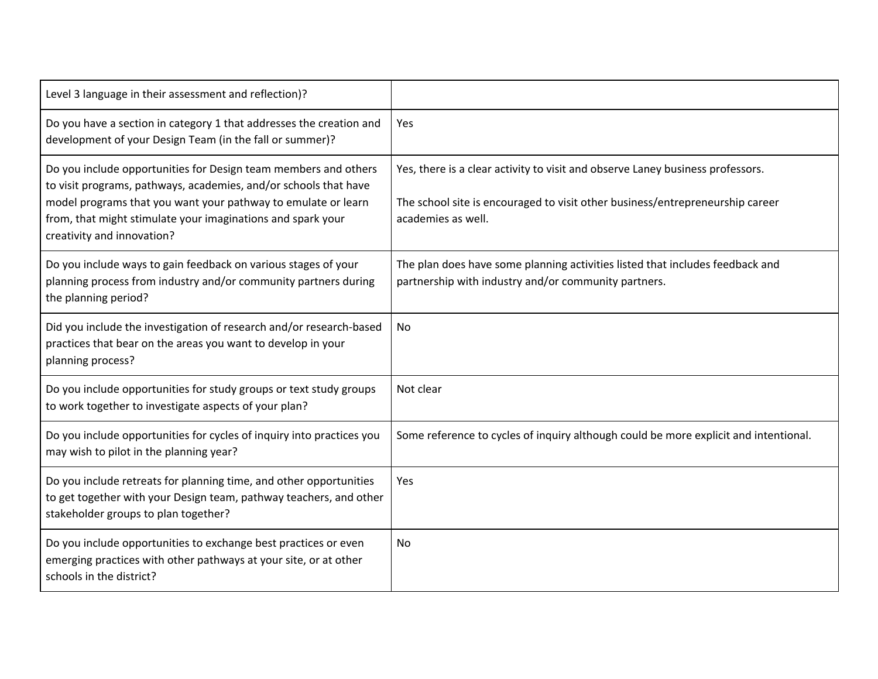| Level 3 language in their assessment and reflection)?                                                                                                                                                                                                                                             |                                                                                                                                                                                       |
|---------------------------------------------------------------------------------------------------------------------------------------------------------------------------------------------------------------------------------------------------------------------------------------------------|---------------------------------------------------------------------------------------------------------------------------------------------------------------------------------------|
| Do you have a section in category 1 that addresses the creation and<br>development of your Design Team (in the fall or summer)?                                                                                                                                                                   | Yes                                                                                                                                                                                   |
| Do you include opportunities for Design team members and others<br>to visit programs, pathways, academies, and/or schools that have<br>model programs that you want your pathway to emulate or learn<br>from, that might stimulate your imaginations and spark your<br>creativity and innovation? | Yes, there is a clear activity to visit and observe Laney business professors.<br>The school site is encouraged to visit other business/entrepreneurship career<br>academies as well. |
| Do you include ways to gain feedback on various stages of your<br>planning process from industry and/or community partners during<br>the planning period?                                                                                                                                         | The plan does have some planning activities listed that includes feedback and<br>partnership with industry and/or community partners.                                                 |
| Did you include the investigation of research and/or research-based<br>practices that bear on the areas you want to develop in your<br>planning process?                                                                                                                                          | No                                                                                                                                                                                    |
| Do you include opportunities for study groups or text study groups<br>to work together to investigate aspects of your plan?                                                                                                                                                                       | Not clear                                                                                                                                                                             |
| Do you include opportunities for cycles of inquiry into practices you<br>may wish to pilot in the planning year?                                                                                                                                                                                  | Some reference to cycles of inquiry although could be more explicit and intentional.                                                                                                  |
| Do you include retreats for planning time, and other opportunities<br>to get together with your Design team, pathway teachers, and other<br>stakeholder groups to plan together?                                                                                                                  | Yes                                                                                                                                                                                   |
| Do you include opportunities to exchange best practices or even<br>emerging practices with other pathways at your site, or at other<br>schools in the district?                                                                                                                                   | No                                                                                                                                                                                    |